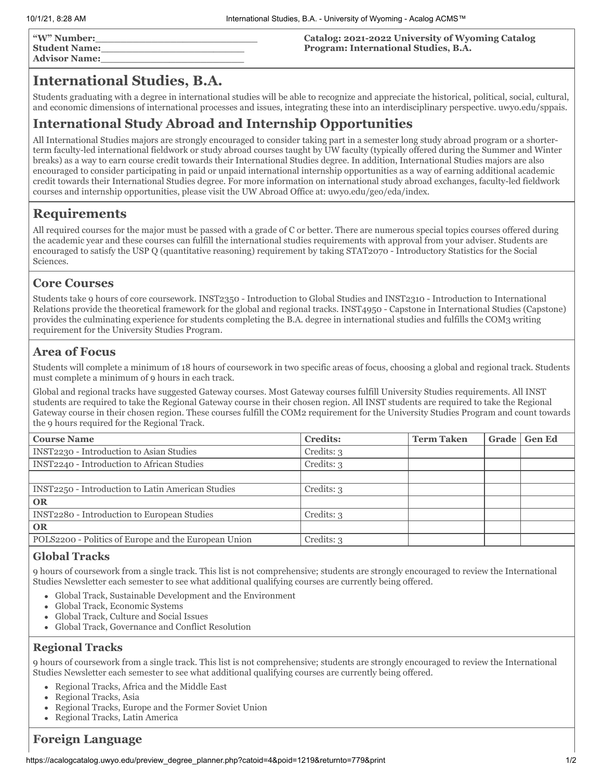| "W" Number:          |  |
|----------------------|--|
| <b>Student Name:</b> |  |
| <b>Advisor Name:</b> |  |

#### **Catalog: 2021-2022 University of Wyoming Catalog Program: International Studies, B.A.**

# **International Studies, B.A.**

Students graduating with a degree in international studies will be able to recognize and appreciate the historical, political, social, cultural, and economic dimensions of international processes and issues, integrating these into an interdisciplinary perspective. uwyo.edu/sppais.

# **International Study Abroad and Internship Opportunities**

All International Studies majors are strongly encouraged to consider taking part in a semester long study abroad program or a shorterterm faculty-led international fieldwork or study abroad courses taught by UW faculty (typically offered during the Summer and Winter breaks) as a way to earn course credit towards their International Studies degree. In addition, International Studies majors are also encouraged to consider participating in paid or unpaid international internship opportunities as a way of earning additional academic credit towards their International Studies degree. For more information on international study abroad exchanges, faculty-led fieldwork courses and internship opportunities, please visit the UW Abroad Office at: uwyo.edu/geo/eda/index.

# **Requirements**

All required courses for the major must be passed with a grade of C or better. There are numerous special topics courses offered during the academic year and these courses can fulfill the international studies requirements with approval from your adviser. Students are encouraged to satisfy the USP Q (quantitative reasoning) requirement by taking STAT2070 - Introductory Statistics for the Social Sciences.

## **Core Courses**

Students take 9 hours of core coursework. INST2350 - Introduction to Global Studies and INST2310 - Introduction to International Relations provide the theoretical framework for the global and regional tracks. INST4950 - Capstone in International Studies (Capstone) provides the culminating experience for students completing the B.A. degree in international studies and fulfills the COM3 writing requirement for the University Studies Program.

## **Area of Focus**

Students will complete a minimum of 18 hours of coursework in two specific areas of focus, choosing a global and regional track. Students must complete a minimum of 9 hours in each track.

Global and regional tracks have suggested Gateway courses. Most Gateway courses fulfill University Studies requirements. All INST students are required to take the Regional Gateway course in their chosen region. All INST students are required to take the Regional Gateway course in their chosen region. These courses fulfill the COM2 requirement for the University Studies Program and count towards the 9 hours required for the Regional Track.

| <b>Course Name</b>                                       | <b>Credits:</b> | <b>Term Taken</b> | Grade | <b>Gen Ed</b> |
|----------------------------------------------------------|-----------------|-------------------|-------|---------------|
| INST2230 - Introduction to Asian Studies                 | Credits: 3      |                   |       |               |
| INST2240 - Introduction to African Studies               | Credits: 3      |                   |       |               |
|                                                          |                 |                   |       |               |
| <b>INST2250 - Introduction to Latin American Studies</b> | Credits: 3      |                   |       |               |
| <b>OR</b>                                                |                 |                   |       |               |
| INST2280 - Introduction to European Studies              | Credits: 3      |                   |       |               |
| <b>OR</b>                                                |                 |                   |       |               |
| POLS2200 - Politics of Europe and the European Union     | Credits: 3      |                   |       |               |
|                                                          |                 |                   |       |               |

#### **Global Tracks**

9 hours of coursework from a single track. This list is not comprehensive; students are strongly encouraged to review the International Studies Newsletter each semester to see what additional qualifying courses are currently being offered.

- Global Track, Sustainable Development and the Environment
- Global Track, Economic Systems
- Global Track, Culture and Social Issues  $\bullet$
- Global Track, Governance and Conflict Resolution

#### **Regional Tracks**

9 hours of coursework from a single track. This list is not comprehensive; students are strongly encouraged to review the International Studies Newsletter each semester to see what additional qualifying courses are currently being offered.

- Regional Tracks, Africa and the Middle East
- Regional Tracks, Asia
- $\bullet$ Regional Tracks, Europe and the Former Soviet Union
- Regional Tracks, Latin America

## **Foreign Language**